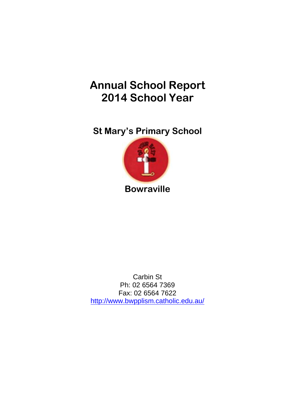# **Annual School Report 2014 School Year**

**St Mary's Primary School**



Carbin St Ph: 02 6564 7369 Fax: 02 6564 7622 <http://www.bwpplism.catholic.edu.au/>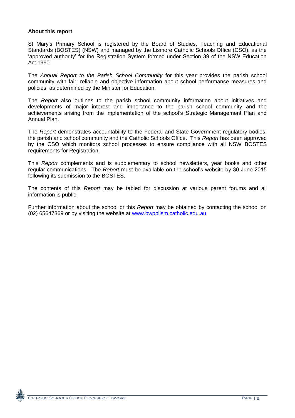#### **About this report**

St Mary"s Primary School is registered by the Board of Studies, Teaching and Educational Standards (BOSTES) (NSW) and managed by the Lismore Catholic Schools Office (CSO), as the "approved authority" for the Registration System formed under Section 39 of the NSW Education Act 1990.

The *Annual Report to the Parish School Community* for this year provides the parish school community with fair, reliable and objective information about school performance measures and policies, as determined by the Minister for Education.

The *Report* also outlines to the parish school community information about initiatives and developments of major interest and importance to the parish school community and the achievements arising from the implementation of the school"s Strategic Management Plan and Annual Plan.

The *Report* demonstrates accountability to the Federal and State Government regulatory bodies, the parish and school community and the Catholic Schools Office. This *Report* has been approved by the CSO which monitors school processes to ensure compliance with all NSW BOSTES requirements for Registration.

This *Report* complements and is supplementary to school newsletters, year books and other regular communications. The *Report* must be available on the school"s website by 30 June 2015 following its submission to the BOSTES.

The contents of this *Report* may be tabled for discussion at various parent forums and all information is public.

Further information about the school or this *Report* may be obtained by contacting the school on (02) 65647369 or by visiting the website at www.bwpplism.catholic.edu.au

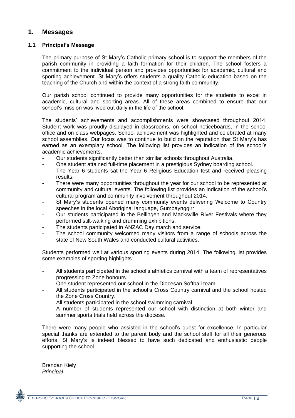# **1. Messages**

#### **1.1 Principal's Message**

The primary purpose of St Mary"s Catholic primary school is to support the members of the parish community in providing a faith formation for their children. The school fosters a commitment to the individual person and provides opportunities for academic, cultural and sporting achievement. St Mary"s offers students a quality Catholic education based on the teaching of the Church and within the context of a strong faith community.

Our parish school continued to provide many opportunities for the students to excel in academic, cultural and sporting areas. All of these areas combined to ensure that our school's mission was lived out daily in the life of the school.

The students" achievements and accomplishments were showcased throughout 2014. Student work was proudly displayed in classrooms, on school noticeboards, in the school office and on class webpages. School achievement was highlighted and celebrated at many school assemblies. Our focus was to continue to build on the reputation that St Mary"s has earned as an exemplary school. The following list provides an indication of the school"s academic achievements.

- Our students significantly better than similar schools throughout Australia.
- One student attained full-time placement in a prestigious Sydney boarding school.
- The Year 6 students sat the Year 6 Religious Education test and received pleasing results.
- There were many opportunities throughout the year for our school to be represented at community and cultural events. The following list provides an indication of the school"s cultural program and community involvement throughout 2014.
- St Mary's students opened many community events delivering Welcome to Country speeches in the local Aboriginal language, Gumbaynggirr.
- Our students participated in the Bellingen and Macksville River Festivals where they performed stilt-walking and drumming exhibitions.
- The students participated in ANZAC Day march and service.
- The school community welcomed many visitors from a range of schools across the state of New South Wales and conducted cultural activities.

Students performed well at various sporting events during 2014. The following list provides some examples of sporting highlights.

- All students participated in the school"s athletics carnival with a team of representatives progressing to Zone honours.
- One student represented our school in the Diocesan Softball team.
- All students participated in the school's Cross Country carnival and the school hosted the Zone Cross Country.
- All students participated in the school swimming carnival.
- A number of students represented our school with distinction at both winter and summer sports trials held across the diocese.

There were many people who assisted in the school"s quest for excellence. In particular special thanks are extended to the parent body and the school staff for all their generous efforts. St Mary"s is indeed blessed to have such dedicated and enthusiastic people supporting the school.

Brendan Kiely *Principal*

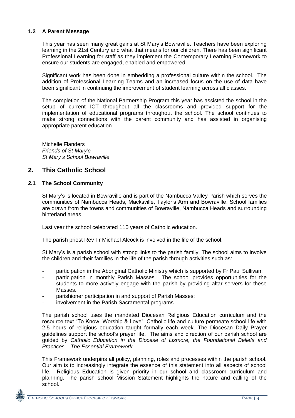#### **1.2 A Parent Message**

This year has seen many great gains at St Mary"s Bowraville. Teachers have been exploring learning in the 21st Century and what that means for our children. There has been significant Professional Learning for staff as they implement the Contemporary Learning Framework to ensure our students are engaged, enabled and empowered.

Significant work has been done in embedding a professional culture within the school. The addition of Professional Learning Teams and an increased focus on the use of data have been significant in continuing the improvement of student learning across all classes.

The completion of the National Partnership Program this year has assisted the school in the setup of current ICT throughout all the classrooms and provided support for the implementation of educational programs throughout the school. The school continues to make strong connections with the parent community and has assisted in organising appropriate parent education.

Michelle Flanders *Friends of St Mary's St Mary's School Bowraville*

# **2. This Catholic School**

#### **2.1 The School Community**

St Mary"s is located in Bowraville and is part of the Nambucca Valley Parish which serves the communities of Nambucca Heads, Macksville, Taylor"s Arm and Bowraville. School families are drawn from the towns and communities of Bowraville, Nambucca Heads and surrounding hinterland areas.

Last year the school celebrated 110 years of Catholic education.

The parish priest Rev Fr Michael Alcock is involved in the life of the school.

St Mary"s is a parish school with strong links to the parish family. The school aims to involve the children and their families in the life of the parish through activities such as:

- participation in the Aboriginal Catholic Ministry which is supported by Fr Paul Sullivan;
- participation in monthly Parish Masses. The school provides opportunities for the students to more actively engage with the parish by providing altar servers for these Masses.
- parishioner participation in and support of Parish Masses;
- involvement in the Parish Sacramental programs.

The parish school uses the mandated Diocesan Religious Education curriculum and the resource text "To Know, Worship & Love". Catholic life and culture permeate school life with 2.5 hours of religious education taught formally each week. The Diocesan Daily Prayer guidelines support the school"s prayer life. The aims and direction of our parish school are guided by *Catholic Education in the Diocese of Lismore, the Foundational Beliefs and Practices – The Essential Framework.*

This Framework underpins all policy, planning, roles and processes within the parish school. Our aim is to increasingly integrate the essence of this statement into all aspects of school life. Religious Education is given priority in our school and classroom curriculum and planning. The parish school Mission Statement highlights the nature and calling of the school.

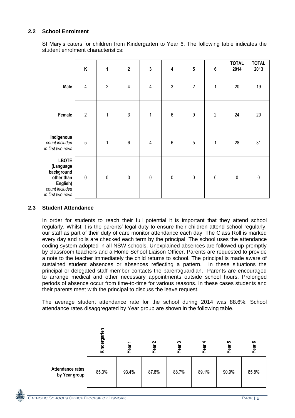### **2.2 School Enrolment**

St Mary"s caters for children from Kindergarten to Year 6. The following table indicates the student enrolment characteristics:

|                                                                                                          | $\sf K$        | $\mathbf{1}$   | $\mathbf{2}$   | $\mathbf 3$    | $\pmb{4}$  | ${\bf 5}$        | $\bf 6$        | <b>TOTAL</b><br>2014 | <b>TOTAL</b><br>2013 |
|----------------------------------------------------------------------------------------------------------|----------------|----------------|----------------|----------------|------------|------------------|----------------|----------------------|----------------------|
| <b>Male</b>                                                                                              | $\overline{4}$ | $\overline{2}$ | $\overline{4}$ | $\overline{4}$ | $\sqrt{3}$ | $\overline{2}$   | $\mathbf 1$    | 20                   | 19                   |
| Female                                                                                                   | $\overline{2}$ | $\mathbf 1$    | $\sqrt{3}$     | $\mathbf{1}$   | $\,6\,$    | $\boldsymbol{9}$ | $\overline{2}$ | 24                   | 20                   |
| Indigenous<br>count included<br>in first two rows                                                        | $\sqrt{5}$     | $\mathbf{1}$   | $\,6\,$        | $\overline{4}$ | $\,6\,$    | $\overline{5}$   | $\mathbf{1}$   | 28                   | 31                   |
| <b>LBOTE</b><br>(Language<br>background<br>other than<br>English)<br>count included<br>in first two rows | $\pmb{0}$      | $\pmb{0}$      | $\pmb{0}$      | $\pmb{0}$      | $\pmb{0}$  | $\pmb{0}$        | $\pmb{0}$      | $\pmb{0}$            | $\pmb{0}$            |

#### **2.3 Student Attendance**

In order for students to reach their full potential it is important that they attend school regularly. Whilst it is the parents' legal duty to ensure their children attend school regularly, our staff as part of their duty of care monitor attendance each day. The Class Roll is marked every day and rolls are checked each term by the principal. The school uses the attendance coding system adopted in all NSW schools. Unexplained absences are followed up promptly by classroom teachers and a Home School Liaison Officer. Parents are requested to provide a note to the teacher immediately the child returns to school. The principal is made aware of sustained student absences or absences reflecting a pattern. In these situations the principal or delegated staff member contacts the parent/guardian. Parents are encouraged to arrange medical and other necessary appointments outside school hours. Prolonged periods of absence occur from time-to-time for various reasons. In these cases students and their parents meet with the principal to discuss the leave request.

The average student attendance rate for the school during 2014 was 88.6%. School attendance rates disaggregated by Year group are shown in the following table.

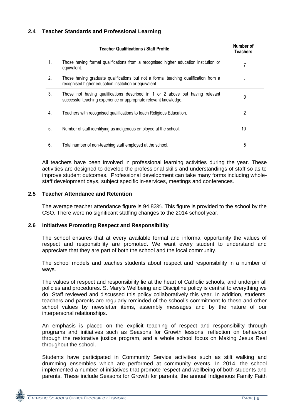|                | <b>Teacher Qualifications / Staff Profile</b>                                                                                                      | Number of<br><b>Teachers</b> |
|----------------|----------------------------------------------------------------------------------------------------------------------------------------------------|------------------------------|
| $\mathbf{1}$ . | Those having formal qualifications from a recognised higher education institution or<br>equivalent.                                                |                              |
| 2.             | Those having graduate qualifications but not a formal teaching qualification from a<br>recognised higher education institution or equivalent.      |                              |
| 3.             | Those not having qualifications described in 1 or 2 above but having relevant<br>successful teaching experience or appropriate relevant knowledge. | 0                            |
| 4.             | Teachers with recognised qualifications to teach Religious Education.                                                                              | 2                            |
| 5.             | Number of staff identifying as indigenous employed at the school.                                                                                  | 10                           |
| 6.             | Total number of non-teaching staff employed at the school.                                                                                         | 5                            |

All teachers have been involved in professional learning activities during the year. These activities are designed to develop the professional skills and understandings of staff so as to improve student outcomes. Professional development can take many forms including wholestaff development days, subject specific in-services, meetings and conferences.

#### **2.5 Teacher Attendance and Retention**

The average teacher attendance figure is 94.83%. This figure is provided to the school by the CSO. There were no significant staffing changes to the 2014 school year.

#### **2.6 Initiatives Promoting Respect and Responsibility**

The school ensures that at every available formal and informal opportunity the values of respect and responsibility are promoted. We want every student to understand and appreciate that they are part of both the school and the local community.

The school models and teaches students about respect and responsibility in a number of ways.

The values of respect and responsibility lie at the heart of Catholic schools, and underpin all policies and procedures. St Mary"s Wellbeing and Discipline policy is central to everything we do. Staff reviewed and discussed this policy collaboratively this year. In addition, students, teachers and parents are regularly reminded of the school"s commitment to these and other school values by newsletter items, assembly messages and by the nature of our interpersonal relationships.

An emphasis is placed on the explicit teaching of respect and responsibility through programs and initiatives such as Seasons for Growth lessons, reflection on behaviour through the restorative justice program, and a whole school focus on Making Jesus Real throughout the school.

Students have participated in Community Service activities such as stilt walking and drumming ensembles which are performed at community events. In 2014, the school implemented a number of initiatives that promote respect and wellbeing of both students and parents. These include Seasons for Growth for parents, the annual Indigenous Family Faith

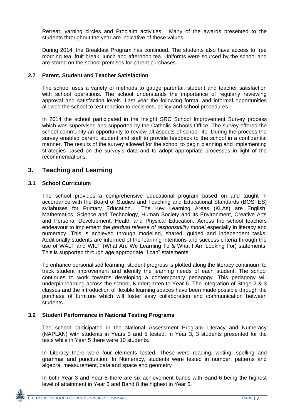Retreat, yarning circles and Proclaim activities. Many of the awards presented to the students throughout the year are indicative of these values.

During 2014, the Breakfast Program has continued. The students also have access to free morning tea, fruit break, lunch and afternoon tea. Uniforms were sourced by the school and are stored on the school premises for parent purchases.

#### **2.7 Parent, Student and Teacher Satisfaction**

The school uses a variety of methods to gauge parental, student and teacher satisfaction with school operations. The school understands the importance of regularly reviewing approval and satisfaction levels. Last year the following formal and informal opportunities allowed the school to test reaction to decisions, policy and school procedures.

In 2014 the school participated in the Insight SRC School Improvement Survey process which was supervised and supported by the Catholic Schools Office. The survey offered the school community an opportunity to review all aspects of school life. During the process the survey enabled parent, student and staff to provide feedback to the school in a confidential manner. The results of the survey allowed for the school to begin planning and implementing strategies based on the survey's data and to adopt appropriate processes in light of the recommendations.

# **3. Teaching and Learning**

#### **3.1 School Curriculum**

The school provides a comprehensive educational program based on and taught in accordance with the Board of Studies and Teaching and Educational Standards (BOSTES) syllabuses for Primary Education. The Key Learning Areas (KLAs) are English, Mathematics, Science and Technology, Human Society and its Environment, Creative Arts and Personal Development, Health and Physical Education. Across the school teachers endeavour to implement the *gradual release of responsibility model* especially in literacy and numeracy. This is achieved through modelled, shared, guided and independent tasks. Additionally students are informed of the learning intentions and success criteria through the use of WALT and WILF (What Are We Learning To & What I Am Looking For) statements. This is supported through age appropriate "I can" statements.

To enhance personalised learning, student progress is plotted along the literacy continuum to track student improvement and identify the learning needs of each student. The school continues to work towards developing a contemporary pedagogy. This pedagogy will underpin learning across the school, Kindergarten to Year 6. The integration of Stage 2 & 3 classes and the introduction of flexible learning spaces have been made possible through the purchase of furniture which will foster easy collaboration and communication between students.

#### **3.2 Student Performance in National Testing Programs**

The school participated in the National Assessment Program Literacy and Numeracy (NAPLAN) with students in Years 3 and 5 tested. In Year 3, 3 students presented for the tests while in Year 5 there were 10 students.

In Literacy there were four elements tested. These were reading, writing, spelling and grammar and punctuation. In Numeracy, students were tested in number, patterns and algebra, measurement, data and space and geometry

In both Year 3 and Year 5 there are six achievement bands with Band 6 being the highest level of attainment in Year 3 and Band 8 the highest in Year 5.

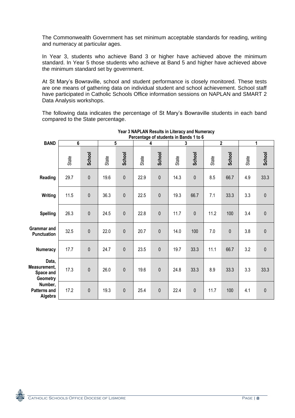The Commonwealth Government has set minimum acceptable standards for reading, writing and numeracy at particular ages.

In Year 3, students who achieve Band 3 or higher have achieved above the minimum standard. In Year 5 those students who achieve at Band 5 and higher have achieved above the minimum standard set by government.

At St Mary"s Bowraville, school and student performance is closely monitored. These tests are one means of gathering data on individual student and school achievement. School staff have participated in Catholic Schools Office information sessions on NAPLAN and SMART 2 Data Analysis workshops.

The following data indicates the percentage of St Mary"s Bowraville students in each band compared to the State percentage.

|                                                       |       |           |                |              |       | Percentage of students in Bands 1 to 6 |       |           |       |                |       |             |
|-------------------------------------------------------|-------|-----------|----------------|--------------|-------|----------------------------------------|-------|-----------|-------|----------------|-------|-------------|
| <b>BAND</b>                                           | 6     |           | $\overline{5}$ |              |       | 4                                      |       | 3         |       | $\overline{2}$ |       | 1           |
|                                                       | State | School    | State          | School       | State | School                                 | State | School    | State | School         | State | School      |
| <b>Reading</b>                                        | 29.7  | $\pmb{0}$ | 19.6           | $\mathbf 0$  | 22.9  | $\pmb{0}$                              | 14.3  | $\pmb{0}$ | 8.5   | 66.7           | 4.9   | 33.3        |
| Writing                                               | 11.5  | $\pmb{0}$ | 36.3           | $\mathbf 0$  | 22.5  | $\mathbf 0$                            | 19.3  | 66.7      | 7.1   | 33.3           | 3.3   | $\pmb{0}$   |
| <b>Spelling</b>                                       | 26.3  | $\pmb{0}$ | 24.5           | $\mathbf{0}$ | 22.8  | $\mathbf 0$                            | 11.7  | $\pmb{0}$ | 11.2  | 100            | 3.4   | $\pmb{0}$   |
| <b>Grammar</b> and<br><b>Punctuation</b>              | 32.5  | $\pmb{0}$ | 22.0           | $\mathbf 0$  | 20.7  | $\pmb{0}$                              | 14.0  | 100       | 7.0   | $\pmb{0}$      | 3.8   | $\pmb{0}$   |
| Numeracy                                              | 17.7  | $\pmb{0}$ | 24.7           | $\pmb{0}$    | 23.5  | $\pmb{0}$                              | 19.7  | 33.3      | 11.1  | 66.7           | 3.2   | $\pmb{0}$   |
| Data,<br>Measurement,<br>Space and<br><b>Geometry</b> | 17.3  | $\pmb{0}$ | 26.0           | $\mathbf 0$  | 19.6  | $\mathbf 0$                            | 24.8  | 33.3      | 8.9   | 33.3           | 3.3   | 33.3        |
| Number,<br><b>Patterns and</b><br>Algebra             | 17.2  | $\pmb{0}$ | 19.3           | $\mathbf 0$  | 25.4  | $\mathbf 0$                            | 22.4  | $\pmb{0}$ | 11.7  | 100            | 4.1   | $\mathbf 0$ |

#### **Year 3 NAPLAN Results in Literacy and Numeracy Percentage of students in Bands 1 to 6**

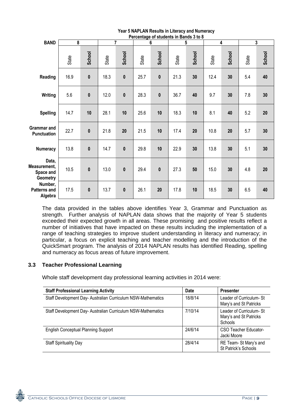|                                                       |       |           |       |                |       | Percentage of students in Bands 3 to 8 |       |        |       |        |       |              |
|-------------------------------------------------------|-------|-----------|-------|----------------|-------|----------------------------------------|-------|--------|-------|--------|-------|--------------|
| <b>BAND</b>                                           | 8     |           |       | $\overline{7}$ |       | 6                                      |       | 5      | 4     |        |       | $\mathbf{3}$ |
|                                                       | State | School    | State | School         | State | School                                 | State | School | State | School | State | School       |
| Reading                                               | 16.9  | $\pmb{0}$ | 18.3  | $\mathbf{0}$   | 25.7  | $\pmb{0}$                              | 21.3  | 30     | 12.4  | 30     | 5.4   | 40           |
| Writing                                               | 5.6   | $\pmb{0}$ | 12.0  | $\bf{0}$       | 28.3  | $\pmb{0}$                              | 36.7  | 40     | 9.7   | 30     | 7.8   | 30           |
| <b>Spelling</b>                                       | 14.7  | 10        | 28.1  | 10             | 25.6  | 10                                     | 18.3  | 10     | 8.1   | 40     | 5.2   | 20           |
| <b>Grammar</b> and<br>Punctuation                     | 22.7  | $\pmb{0}$ | 21.8  | 20             | 21.5  | 10                                     | 17.4  | 20     | 10.8  | 20     | 5.7   | 30           |
| Numeracy                                              | 13.8  | $\pmb{0}$ | 14.7  | $\mathbf 0$    | 29.8  | 10                                     | 22.9  | 30     | 13.8  | 30     | 5.1   | 30           |
| Data,<br>Measurement,<br>Space and<br><b>Geometry</b> | 10.5  | $\pmb{0}$ | 13.0  | $\bf{0}$       | 29.4  | $\mathbf{0}$                           | 27.3  | 50     | 15.0  | 30     | 4.8   | 20           |
| Number,<br><b>Patterns and</b><br>Algebra             | 17.5  | $\pmb{0}$ | 13.7  | $\bf{0}$       | 26.1  | 20                                     | 17.8  | 10     | 18.5  | 30     | 6.5   | 40           |

**Year 5 NAPLAN Results in Literacy and Numeracy**

The data provided in the tables above identifies Year 3, Grammar and Punctuation as strength. Further analysis of NAPLAN data shows that the majority of Year 5 students exceeded their expected growth in all areas. These promising and positive results reflect a number of initiatives that have impacted on these results including the implementation of a range of teaching strategies to improve student understanding in literacy and numeracy; in particular, a focus on explicit teaching and teacher modelling and the introduction of the QuickSmart program. The analysis of 2014 NAPLAN results has identified Reading, spelling and numeracy as focus areas of future improvement.

### **3.3 Teacher Professional Learning**

Whole staff development day professional learning activities in 2014 were:

| <b>Staff Professional Learning Activity</b>                  | <b>Date</b> | <b>Presenter</b>                                              |
|--------------------------------------------------------------|-------------|---------------------------------------------------------------|
| Staff Development Day- Australian Curriculum NSW-Mathematics | 18/8/14     | Leader of Curriculum- St<br>Mary's and St Patricks            |
| Staff Development Day- Australian Curriculum NSW-Mathematics | 7/10/14     | Leader of Curriculum- St<br>Mary's and St Patricks<br>Schools |
| <b>English Conceptual Planning Support</b>                   | 24/6/14     | CSO Teacher Educator-<br>Jacki Moore                          |
| <b>Staff Spirituality Day</b>                                | 28/4/14     | RE Team- St Mary's and<br>St Patrick's Schools                |

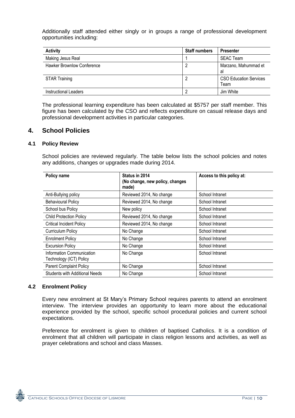Additionally staff attended either singly or in groups a range of professional development opportunities including:

| <b>Activity</b>                   | <b>Staff numbers</b> | <b>Presenter</b>                      |
|-----------------------------------|----------------------|---------------------------------------|
| Making Jesus Real                 |                      | <b>SEAC Team</b>                      |
| <b>Hawker Brownlow Conference</b> |                      | Marzano, Mahummad et<br>a             |
| <b>STAR Training</b>              |                      | <b>CSO Education Services</b><br>Team |
| <b>Instructional Leaders</b>      |                      | Jim White                             |

The professional learning expenditure has been calculated at \$5757 per staff member. This figure has been calculated by the CSO and reflects expenditure on casual release days and professional development activities in particular categories.

# **4. School Policies**

#### **4.1 Policy Review**

School policies are reviewed regularly. The table below lists the school policies and notes any additions, changes or upgrades made during 2014.

| Policy name                                          | Status in 2014<br>(No change, new policy, changes<br>made) | Access to this policy at: |  |
|------------------------------------------------------|------------------------------------------------------------|---------------------------|--|
| Anti-Bullying policy                                 | Reviewed 2014, No change                                   | School Intranet           |  |
| <b>Behavioural Policy</b>                            | Reviewed 2014, No change                                   | School Intranet           |  |
| School bus Policy                                    | New policy                                                 | School Intranet           |  |
| <b>Child Protection Policy</b>                       | Reviewed 2014, No change                                   | School Intranet           |  |
| <b>Critical Incident Policy</b>                      | Reviewed 2014, No change                                   | School Intranet           |  |
| Curriculum Policy                                    | No Change                                                  | School Intranet           |  |
| <b>Enrolment Policy</b>                              | No Change                                                  | School Intranet           |  |
| <b>Excursion Policy</b>                              | No Change                                                  | School Intranet           |  |
| Information Communication<br>Technology (ICT) Policy | No Change                                                  | School Intranet           |  |
| <b>Parent Complaint Policy</b>                       | No Change                                                  | School Intranet           |  |
| <b>Students with Additional Needs</b>                | No Change                                                  | School Intranet           |  |

#### **4.2 Enrolment Policy**

Every new enrolment at St Mary"s Primary School requires parents to attend an enrolment interview. The interview provides an opportunity to learn more about the educational experience provided by the school, specific school procedural policies and current school expectations.

Preference for enrolment is given to children of baptised Catholics. It is a condition of enrolment that all children will participate in class religion lessons and activities, as well as prayer celebrations and school and class Masses.

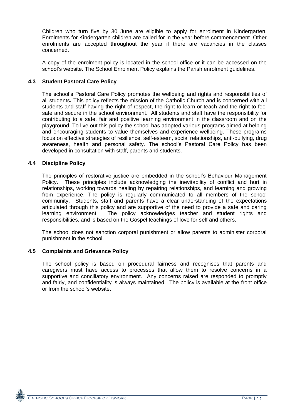Children who turn five by 30 June are eligible to apply for enrolment in Kindergarten. Enrolments for Kindergarten children are called for in the year before commencement. Other enrolments are accepted throughout the year if there are vacancies in the classes concerned.

A copy of the enrolment policy is located in the school office or it can be accessed on the school's website. The School Enrolment Policy explains the Parish enrolment guidelines.

#### **4.3 Student Pastoral Care Policy**

The school"s Pastoral Care Policy promotes the wellbeing and rights and responsibilities of all students**.** This policy reflects the mission of the Catholic Church and is concerned with all students and staff having the right of respect, the right to learn or teach and the right to feel safe and secure in the school environment. All students and staff have the responsibility for contributing to a safe, fair and positive learning environment in the classroom and on the playground. To live out this policy the school has adopted various programs aimed at helping and encouraging students to value themselves and experience wellbeing. These programs focus on effective strategies of resilience, self-esteem, social relationships, anti-bullying, drug awareness, health and personal safety. The school"s Pastoral Care Policy has been developed in consultation with staff, parents and students.

#### **4.4 Discipline Policy**

The principles of restorative justice are embedded in the school's Behaviour Management Policy. These principles include acknowledging the inevitability of conflict and hurt in relationships, working towards healing by repairing relationships, and learning and growing from experience. The policy is regularly communicated to all members of the school community. Students, staff and parents have a clear understanding of the expectations articulated through this policy and are supportive of the need to provide a safe and caring learning environment. The policy acknowledges teacher and student rights and responsibilities, and is based on the Gospel teachings of love for self and others.

The school does not sanction corporal punishment or allow parents to administer corporal punishment in the school.

### **4.5 Complaints and Grievance Policy**

The school policy is based on procedural fairness and recognises that parents and caregivers must have access to processes that allow them to resolve concerns in a supportive and conciliatory environment. Any concerns raised are responded to promptly and fairly, and confidentiality is always maintained. The policy is available at the front office or from the school"s website.

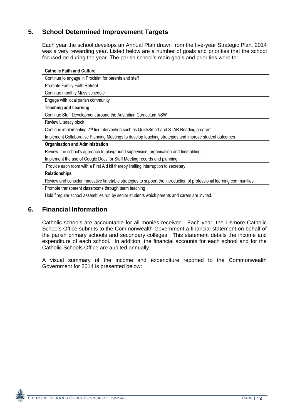# **5. School Determined Improvement Targets**

Each year the school develops an Annual Plan drawn from the five-year Strategic Plan. 2014 was a very rewarding year. Listed below are a number of goals and priorities that the school focused on during the year. The parish school"s main goals and priorities were to:

| <b>Catholic Faith and Culture</b>                                                                                    |
|----------------------------------------------------------------------------------------------------------------------|
| Continue to engage in Proclaim for parents and staff                                                                 |
| Promote Family Faith Retreat                                                                                         |
| Continue monthly Mass schedule                                                                                       |
| Engage with local parish community                                                                                   |
| <b>Teaching and Learning</b>                                                                                         |
| Continue Staff Development around the Australian Curriculum NSW                                                      |
| Review Literacy block                                                                                                |
| Continue implementing 2 <sup>nd</sup> tier intervention such as QuickSmart and STAR Reading program                  |
| Implement Collaborative Planning Meetings to develop teaching strategies and improve student outcomes                |
| <b>Organisation and Administration</b>                                                                               |
| Review the school's approach to playground supervision, organisation and timetabling                                 |
| Implement the use of Google Docs for Staff Meeting records and planning                                              |
| Provide each room with a First Aid kit thereby limiting interruption to secretary                                    |
| <b>Relationships</b>                                                                                                 |
| Review and consider innovative timetable strategies to support the introduction of professional learning communities |
| Promote transparent classrooms through team teaching                                                                 |
| Hold f regular school assemblies run by senior students which parents and carers are invited.                        |

# **6. Financial Information**

Catholic schools are accountable for all monies received. Each year, the Lismore Catholic Schools Office submits to the Commonwealth Government a financial statement on behalf of the parish primary schools and secondary colleges. This statement details the income and expenditure of each school. In addition, the financial accounts for each school and for the Catholic Schools Office are audited annually.

A visual summary of the income and expenditure reported to the Commonwealth Government for 2014 is presented below: